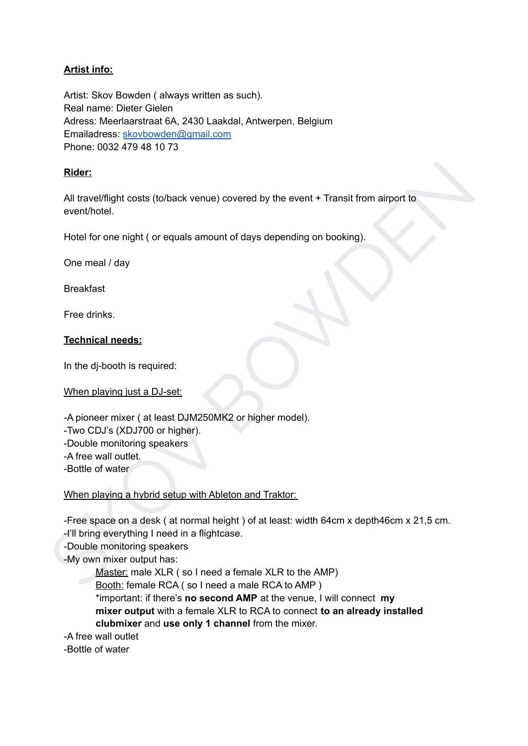## **Artist info:**

Artist: Skov Bowden ( always written as such). Real name: Dieter Gielen Adress: Meerlaarstraat 6A, 2430 Laakdal, Antwerpen, Belgium Emailadress: [skovbowden@gmail.com](mailto:skovbowden@gmail.com) Phone: 0032 479 48 10 73

### **Rider:**

All travel/flight costs (to/back venue) covered by the event + Transit from airport to event/hotel.

Hotel for one night ( or equals amount of days depending on booking).

One meal / day

Breakfast

Free drinks.

### **Technical needs:**

In the dj-booth is required:

When playing just a DJ-set:

-A pioneer mixer ( at least DJM250MK2 or higher model).

-Two CDJ's (XDJ700 or higher).

-Double monitoring speakers

-A free wall outlet.

-Bottle of water

When playing a hybrid setup with Ableton and Traktor:

Ridar:<br>
All travel/flight costs (to/back venue) covered by the event + Transit from airport to<br>
eventifindel.<br>
Hotel for one night ( or equals amount of days depending on booking).<br>
One meal / day<br>
Breakfast<br>
Free drinks.<br> -Free space on a desk ( at normal height ) of at least: width 64cm x depth46cm x 21,5 cm. -I'll bring everything I need in a flightcase.

-Double monitoring speakers

-My own mixer output has:

Master: male XLR ( so I need a female XLR to the AMP)

Booth: female RCA ( so I need a male RCA to AMP )

\*important: if there's **no second AMP** at the venue, I will connect **my mixer output** with a female XLR to RCA to connect **to an already installed clubmixer** and **use only 1 channel** from the mixer.

-A free wall outlet

-Bottle of water